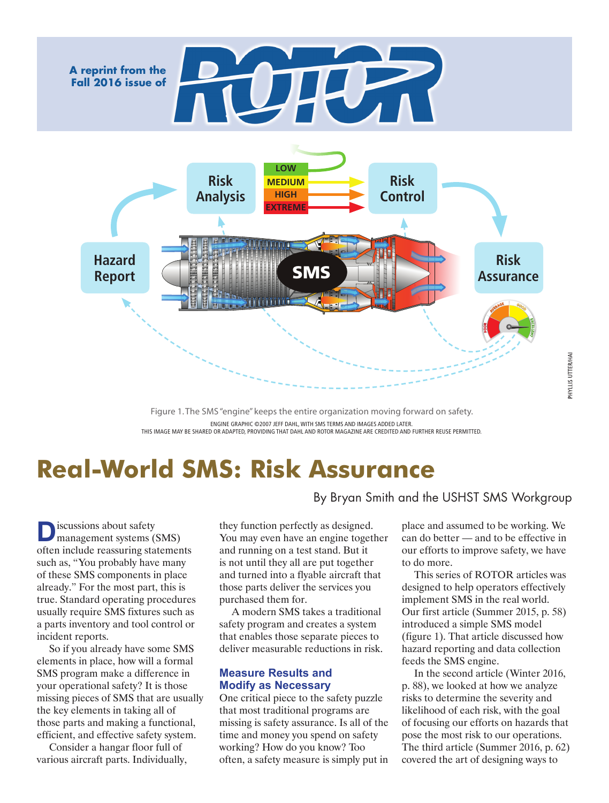

Figure 1. The SMS "engine" keeps the entire organization moving forward on safety. ENGINE GRAPHIC ©2007 JEFF DAHL, WITH SMS TERMS AND IMAGES ADDED LATER. THIS IMAGE MAY BE SHARED OR ADAPTED, PROVIDING THAT DAHL AND ROTOR MAGAZINE ARE CREDITED AND FURTHER REUSE PERMITTED.

# **Real-World SMS: Risk Assurance**

**D**iscussions about safety<br>management systems (SMS) often include reassuring statements such as, "You probably have many of these SMS components in place already." For the most part, this is true. Standard operating procedures usually require SMS fixtures such as a parts inventory and tool control or incident reports.

So if you already have some SMS elements in place, how will a formal SMS program make a difference in your operational safety? It is those missing pieces of SMS that are usually the key elements in taking all of those parts and making a functional, efficient, and effective safety system.

Consider a hangar floor full of various aircraft parts. Individually, By Bryan Smith and the USHST SMS Workgroup

they function perfectly as designed. You may even have an engine together and running on a test stand. But it is not until they all are put together and turned into a flyable aircraft that those parts deliver the services you purchased them for.

A modern SMS takes a traditional safety program and creates a system that enables those separate pieces to deliver measurable reductions in risk.

## **Measure Results and Modify as Necessary**

One critical piece to the safety puzzle that most traditional programs are missing is safety assurance. Is all of the time and money you spend on safety working? How do you know? Too often, a safety measure is simply put in

place and assumed to be working. We can do better — and to be effective in our efforts to improve safety, we have to do more.

This series of ROTOR articles was designed to help operators effectively implement SMS in the real world. Our first article (Summer 2015, p. 58) introduced a simple SMS model (figure 1). That article discussed how hazard reporting and data collection feeds the SMS engine.

In the second article (Winter 2016, p. 88), we looked at how we analyze risks to determine the severity and likelihood of each risk, with the goal of focusing our efforts on hazards that pose the most risk to our operations. The third article (Summer 2016, p. 62) covered the art of designing ways to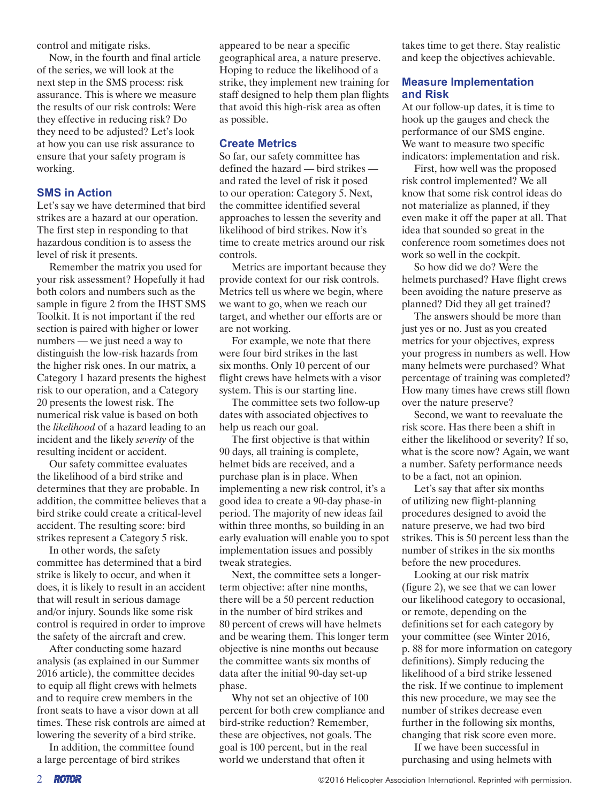control and mitigate risks.

Now, in the fourth and final article of the series, we will look at the next step in the SMS process: risk assurance. This is where we measure the results of our risk controls: Were they effective in reducing risk? Do they need to be adjusted? Let's look at how you can use risk assurance to ensure that your safety program is working.

## **SMS in Action**

Let's say we have determined that bird strikes are a hazard at our operation. The first step in responding to that hazardous condition is to assess the level of risk it presents.

Remember the matrix you used for your risk assessment? Hopefully it had both colors and numbers such as the sample in figure 2 from the IHST SMS Toolkit. It is not important if the red section is paired with higher or lower numbers — we just need a way to distinguish the low-risk hazards from the higher risk ones. In our matrix, a Category 1 hazard presents the highest risk to our operation, and a Category 20 presents the lowest risk. The numerical risk value is based on both the *likelihood* of a hazard leading to an incident and the likely *severity* of the resulting incident or accident.

Our safety committee evaluates the likelihood of a bird strike and determines that they are probable. In addition, the committee believes that a bird strike could create a critical-level accident. The resulting score: bird strikes represent a Category 5 risk.

In other words, the safety committee has determined that a bird strike is likely to occur, and when it does, it is likely to result in an accident that will result in serious damage and/or injury. Sounds like some risk control is required in order to improve the safety of the aircraft and crew.

After conducting some hazard analysis (as explained in our Summer 2016 article), the committee decides to equip all flight crews with helmets and to require crew members in the front seats to have a visor down at all times. These risk controls are aimed at lowering the severity of a bird strike.

In addition, the committee found a large percentage of bird strikes

appeared to be near a specific geographical area, a nature preserve. Hoping to reduce the likelihood of a strike, they implement new training for staff designed to help them plan flights that avoid this high-risk area as often as possible.

## **Create Metrics**

So far, our safety committee has defined the hazard — bird strikes and rated the level of risk it posed to our operation: Category 5. Next, the committee identified several approaches to lessen the severity and likelihood of bird strikes. Now it's time to create metrics around our risk controls.

Metrics are important because they provide context for our risk controls. Metrics tell us where we begin, where we want to go, when we reach our target, and whether our efforts are or are not working.

For example, we note that there were four bird strikes in the last six months. Only 10 percent of our flight crews have helmets with a visor system. This is our starting line.

The committee sets two follow-up dates with associated objectives to help us reach our goal.

The first objective is that within 90 days, all training is complete, helmet bids are received, and a purchase plan is in place. When implementing a new risk control, it's a good idea to create a 90-day phase-in period. The majority of new ideas fail within three months, so building in an early evaluation will enable you to spot implementation issues and possibly tweak strategies.

Next, the committee sets a longerterm objective: after nine months, there will be a 50 percent reduction in the number of bird strikes and 80 percent of crews will have helmets and be wearing them. This longer term objective is nine months out because the committee wants six months of data after the initial 90-day set-up phase.

Why not set an objective of 100 percent for both crew compliance and bird-strike reduction? Remember, these are objectives, not goals. The goal is 100 percent, but in the real world we understand that often it

takes time to get there. Stay realistic and keep the objectives achievable.

# **Measure Implementation and Risk**

At our follow-up dates, it is time to hook up the gauges and check the performance of our SMS engine. We want to measure two specific indicators: implementation and risk.

First, how well was the proposed risk control implemented? We all know that some risk control ideas do not materialize as planned, if they even make it off the paper at all. That idea that sounded so great in the conference room sometimes does not work so well in the cockpit.

So how did we do? Were the helmets purchased? Have flight crews been avoiding the nature preserve as planned? Did they all get trained?

The answers should be more than just yes or no. Just as you created metrics for your objectives, express your progress in numbers as well. How many helmets were purchased? What percentage of training was completed? How many times have crews still flown over the nature preserve?

Second, we want to reevaluate the risk score. Has there been a shift in either the likelihood or severity? If so, what is the score now? Again, we want a number. Safety performance needs to be a fact, not an opinion.

Let's say that after six months of utilizing new flight-planning procedures designed to avoid the nature preserve, we had two bird strikes. This is 50 percent less than the number of strikes in the six months before the new procedures.

Looking at our risk matrix (figure 2), we see that we can lower our likelihood category to occasional, or remote, depending on the definitions set for each category by your committee (see Winter 2016, p. 88 for more information on category definitions). Simply reducing the likelihood of a bird strike lessened the risk. If we continue to implement this new procedure, we may see the number of strikes decrease even further in the following six months, changing that risk score even more.

If we have been successful in purchasing and using helmets with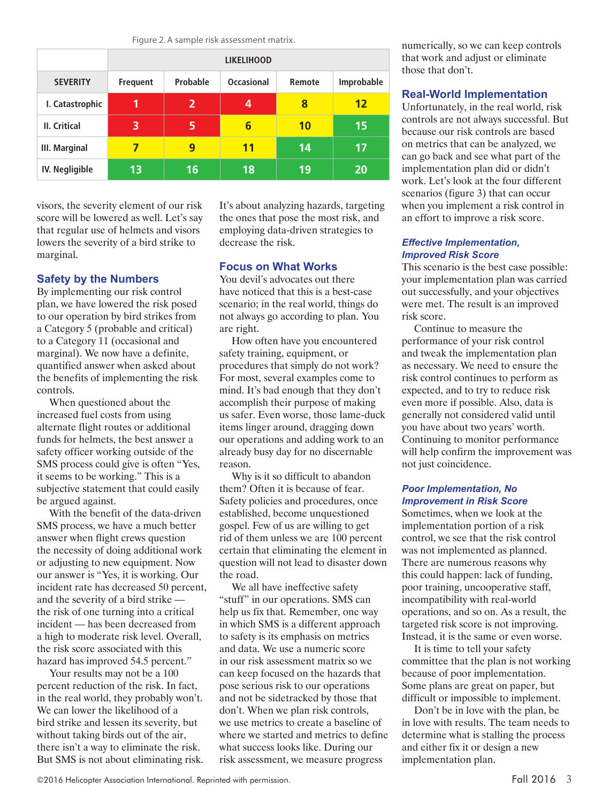Figure 2. A sample risk assessment matrix.

|                      | <b>LIKELIHOOD</b> |                |                   |           |            |
|----------------------|-------------------|----------------|-------------------|-----------|------------|
| <b>SEVERITY</b>      | <b>Frequent</b>   | Probable       | <b>Occasional</b> | Remote    | Improbable |
| I. Catastrophic      | 1                 | $\overline{2}$ | 4                 | 8         | 12         |
| <b>II.</b> Critical  | 3                 | 5              | 6                 | <b>10</b> | 15         |
| <b>III. Marginal</b> | 7                 | 9              | 11                | 14        | 17         |
| IV. Negligible       | 13                | 16             | 18                | 19        | 20         |

visors, the severity element of our risk score will be lowered as well. Let's say that regular use of helmets and visors lowers the severity of a bird strike to marginal.

# **Safety by the Numbers**

By implementing our risk control plan, we have lowered the risk posed to our operation by bird strikes from a Category 5 (probable and critical) to a Category 11 (occasional and marginal). We now have a definite, quantified answer when asked about the benefits of implementing the risk controls.

When questioned about the increased fuel costs from using alternate flight routes or additional funds for helmets, the best answer a safety officer working outside of the SMS process could give is often "Yes, it seems to be working." This is a subjective statement that could easily be argued against.

With the benefit of the data-driven SMS process, we have a much better answer when flight crews question the necessity of doing additional work or adjusting to new equipment. Now our answer is "Yes, it is working. Our incident rate has decreased 50 percent, and the severity of a bird strike the risk of one turning into a critical incident — has been decreased from a high to moderate risk level. Overall, the risk score associated with this hazard has improved 54.5 percent."

Your results may not be a 100 percent reduction of the risk. In fact, in the real world, they probably won't. We can lower the likelihood of a bird strike and lessen its severity, but without taking birds out of the air, there isn't a way to eliminate the risk. But SMS is not about eliminating risk. It's about analyzing hazards, targeting the ones that pose the most risk, and employing data-driven strategies to decrease the risk.

# **Focus on What Works**

You devil's advocates out there have noticed that this is a best-case scenario; in the real world, things do not always go according to plan. You are right.

How often have you encountered safety training, equipment, or procedures that simply do not work? For most, several examples come to mind. It's bad enough that they don't accomplish their purpose of making us safer. Even worse, those lame-duck items linger around, dragging down our operations and adding work to an already busy day for no discernable reason.

Why is it so difficult to abandon them? Often it is because of fear. Safety policies and procedures, once established, become unquestioned gospel. Few of us are willing to get rid of them unless we are 100 percent certain that eliminating the element in question will not lead to disaster down the road.

We all have ineffective safety "stuff" in our operations. SMS can help us fix that. Remember, one way in which SMS is a different approach to safety is its emphasis on metrics and data. We use a numeric score in our risk assessment matrix so we can keep focused on the hazards that pose serious risk to our operations and not be sidetracked by those that don't. When we plan risk controls, we use metrics to create a baseline of where we started and metrics to define what success looks like. During our risk assessment, we measure progress

numerically, so we can keep controls that work and adjust or eliminate those that don't.

# **Real-World Implementation**

Unfortunately, in the real world, risk controls are not always successful. But because our risk controls are based on metrics that can be analyzed, we can go back and see what part of the implementation plan did or didn't work. Let's look at the four different scenarios (figure 3) that can occur when you implement a risk control in an effort to improve a risk score.

#### *Effective Implementation, Improved Risk Score*

This scenario is the best case possible: your implementation plan was carried out successfully, and your objectives were met. The result is an improved risk score.

Continue to measure the performance of your risk control and tweak the implementation plan as necessary. We need to ensure the risk control continues to perform as expected, and to try to reduce risk even more if possible. Also, data is generally not considered valid until you have about two years' worth. Continuing to monitor performance will help confirm the improvement was not just coincidence.

### *Poor Implementation, No Improvement in Risk Score*

Sometimes, when we look at the implementation portion of a risk control, we see that the risk control was not implemented as planned. There are numerous reasons why this could happen: lack of funding, poor training, uncooperative staff, incompatibility with real-world operations, and so on. As a result, the targeted risk score is not improving. Instead, it is the same or even worse.

It is time to tell your safety committee that the plan is not working because of poor implementation. Some plans are great on paper, but difficult or impossible to implement.

Don't be in love with the plan, be in love with results. The team needs to determine what is stalling the process and either fix it or design a new implementation plan.